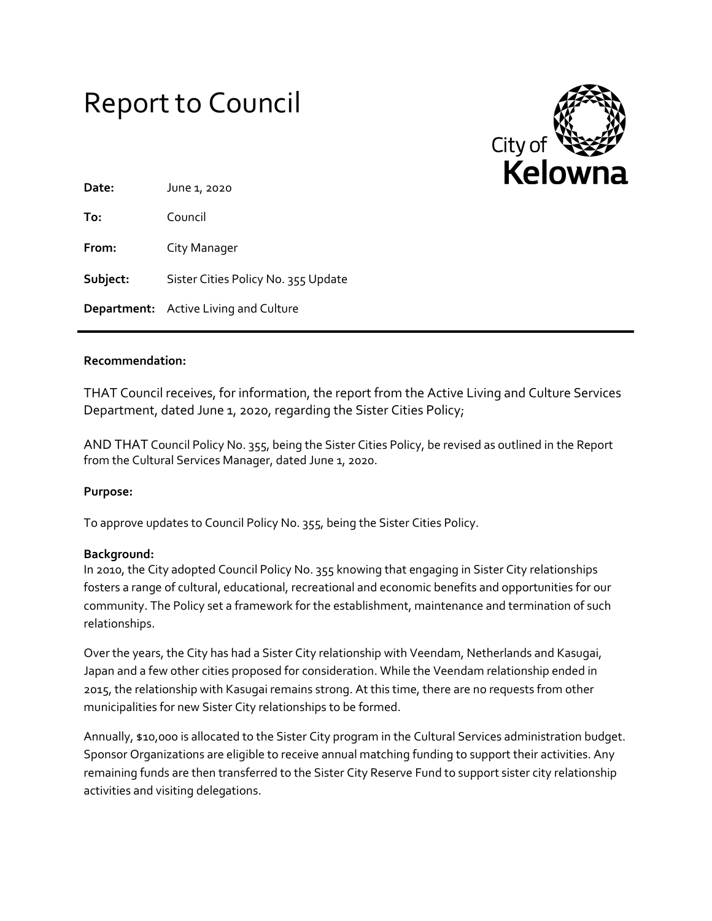# Report to Council



| Date:    | June 1, 2020                          |
|----------|---------------------------------------|
| To:      | Council                               |
| From:    | City Manager                          |
| Subject: | Sister Cities Policy No. 355 Update   |
|          | Department: Active Living and Culture |

## **Recommendation:**

THAT Council receives, for information, the report from the Active Living and Culture Services Department, dated June 1, 2020, regarding the Sister Cities Policy;

AND THAT Council Policy No. 355, being the Sister Cities Policy, be revised as outlined in the Report from the Cultural Services Manager, dated June 1, 2020.

## **Purpose:**

To approve updates to Council Policy No. 355, being the Sister Cities Policy.

#### **Background:**

In 2010, the City adopted Council Policy No. 355 knowing that engaging in Sister City relationships fosters a range of cultural, educational, recreational and economic benefits and opportunities for our community. The Policy set a framework for the establishment, maintenance and termination of such relationships.

Over the years, the City has had a Sister City relationship with Veendam, Netherlands and Kasugai, Japan and a few other cities proposed for consideration. While the Veendam relationship ended in 2015, the relationship with Kasugai remains strong. At this time, there are no requests from other municipalities for new Sister City relationships to be formed.

Annually, \$10,000 is allocated to the Sister City program in the Cultural Services administration budget. Sponsor Organizations are eligible to receive annual matching funding to support their activities. Any remaining funds are then transferred to the Sister City Reserve Fund to support sister city relationship activities and visiting delegations.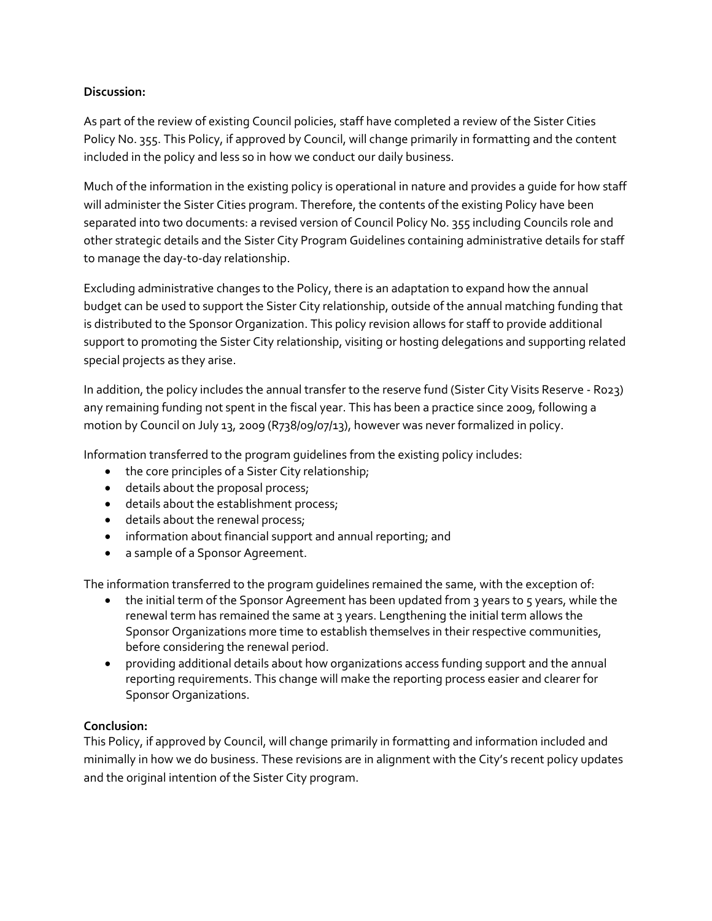## **Discussion:**

As part of the review of existing Council policies, staff have completed a review of the Sister Cities Policy No. 355. This Policy, if approved by Council, will change primarily in formatting and the content included in the policy and less so in how we conduct our daily business.

Much of the information in the existing policy is operational in nature and provides a guide for how staff will administer the Sister Cities program. Therefore, the contents of the existing Policy have been separated into two documents: a revised version of Council Policy No. 355 including Councils role and other strategic details and the Sister City Program Guidelines containing administrative details for staff to manage the day-to-day relationship.

Excluding administrative changes to the Policy, there is an adaptation to expand how the annual budget can be used to support the Sister City relationship, outside of the annual matching funding that is distributed to the Sponsor Organization. This policy revision allows for staff to provide additional support to promoting the Sister City relationship, visiting or hosting delegations and supporting related special projects as they arise.

In addition, the policy includes the annual transfer to the reserve fund (Sister City Visits Reserve - R023) any remaining funding not spent in the fiscal year. This has been a practice since 2009, following a motion by Council on July 13, 2009 (R738/09/07/13), however was never formalized in policy.

Information transferred to the program guidelines from the existing policy includes:

- the core principles of a Sister City relationship;
- details about the proposal process;
- details about the establishment process;
- details about the renewal process;
- information about financial support and annual reporting; and
- a sample of a Sponsor Agreement.

The information transferred to the program guidelines remained the same, with the exception of:

- $\bullet$  the initial term of the Sponsor Agreement has been updated from 3 years to 5 years, while the renewal term has remained the same at 3 years. Lengthening the initial term allows the Sponsor Organizations more time to establish themselves in their respective communities, before considering the renewal period.
- providing additional details about how organizations access funding support and the annual reporting requirements. This change will make the reporting process easier and clearer for Sponsor Organizations.

## **Conclusion:**

This Policy, if approved by Council, will change primarily in formatting and information included and minimally in how we do business. These revisions are in alignment with the City's recent policy updates and the original intention of the Sister City program.